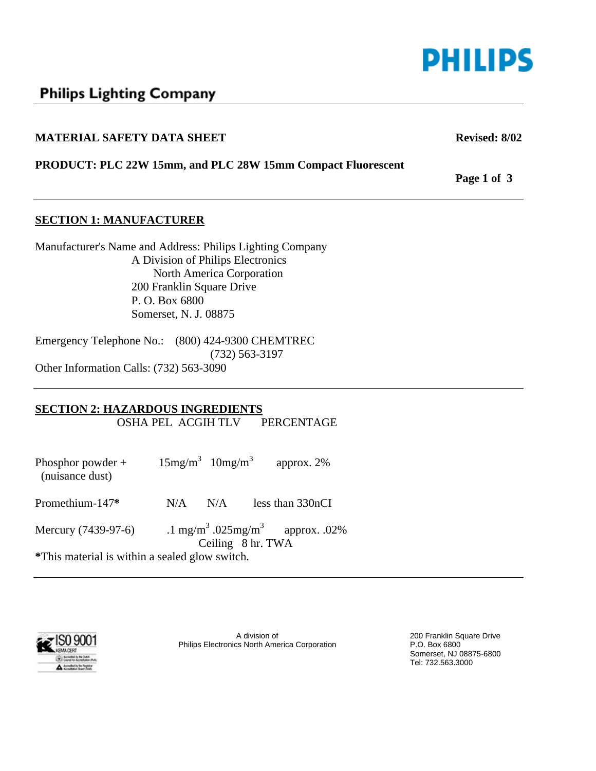

# **Philips Lighting Company**

#### **MATERIAL SAFETY DATA SHEET Revised: 8/02 Revised: 8/02**

**PRODUCT: PLC 22W 15mm, and PLC 28W 15mm Compact Fluorescent** 

**SECTION 1: MANUFACTURER** 

Manufacturer's Name and Address: Philips Lighting Company A Division of Philips Electronics North America Corporation 200 Franklin Square Drive P. O. Box 6800 Somerset, N. J. 08875

Emergency Telephone No.: (800) 424-9300 CHEMTREC (732) 563-3197 Other Information Calls: (732) 563-3090

#### **SECTION 2: HAZARDOUS INGREDIENTS**

OSHA PEL ACGIH TLV PERCENTAGE

| Phosphor powder $+$<br>(nuisance dust)         | $15mg/m^3$ $10mg/m^3$ |     |                   | approx. $2\%$                                           |
|------------------------------------------------|-----------------------|-----|-------------------|---------------------------------------------------------|
| Promethium-147*                                | N/A                   | N/A |                   | less than 330nCI                                        |
| Mercury (7439-97-6)                            |                       |     | Ceiling 8 hr. TWA | .1 mg/m <sup>3</sup> .025mg/m <sup>3</sup> approx. .02% |
| *This material is within a sealed glow switch. |                       |     |                   |                                                         |

**Bellin The Registrar** 

A division of 200 Franklin Square Drive Philips Electronics North America Corporation P.O. Box 6800

Somerset, NJ 08875-6800 Tel: 732.563.3000

**Page 1 of 3**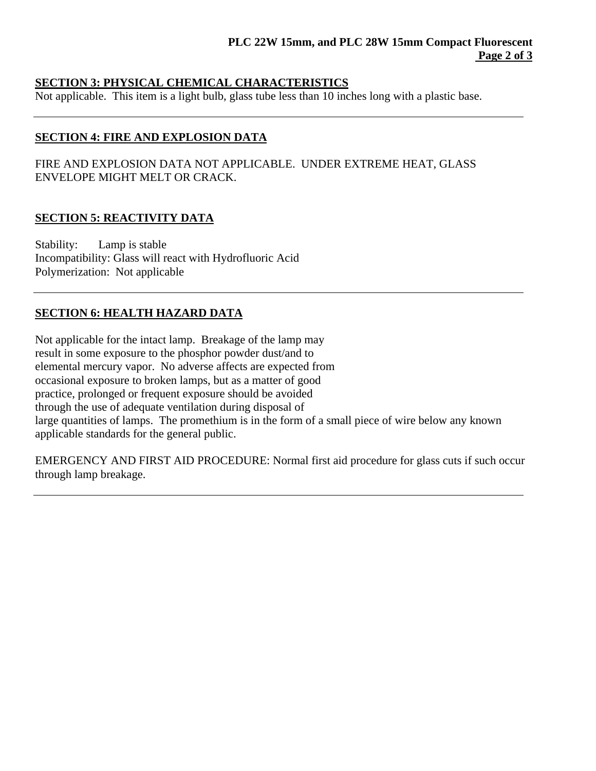## **SECTION 3: PHYSICAL CHEMICAL CHARACTERISTICS**

Not applicable. This item is a light bulb, glass tube less than 10 inches long with a plastic base.

# **SECTION 4: FIRE AND EXPLOSION DATA**

FIRE AND EXPLOSION DATA NOT APPLICABLE. UNDER EXTREME HEAT, GLASS ENVELOPE MIGHT MELT OR CRACK.

# **SECTION 5: REACTIVITY DATA**

Stability: Lamp is stable Incompatibility: Glass will react with Hydrofluoric Acid Polymerization: Not applicable

# **SECTION 6: HEALTH HAZARD DATA**

Not applicable for the intact lamp. Breakage of the lamp may result in some exposure to the phosphor powder dust/and to elemental mercury vapor. No adverse affects are expected from occasional exposure to broken lamps, but as a matter of good practice, prolonged or frequent exposure should be avoided through the use of adequate ventilation during disposal of large quantities of lamps. The promethium is in the form of a small piece of wire below any known applicable standards for the general public.

EMERGENCY AND FIRST AID PROCEDURE: Normal first aid procedure for glass cuts if such occur through lamp breakage.